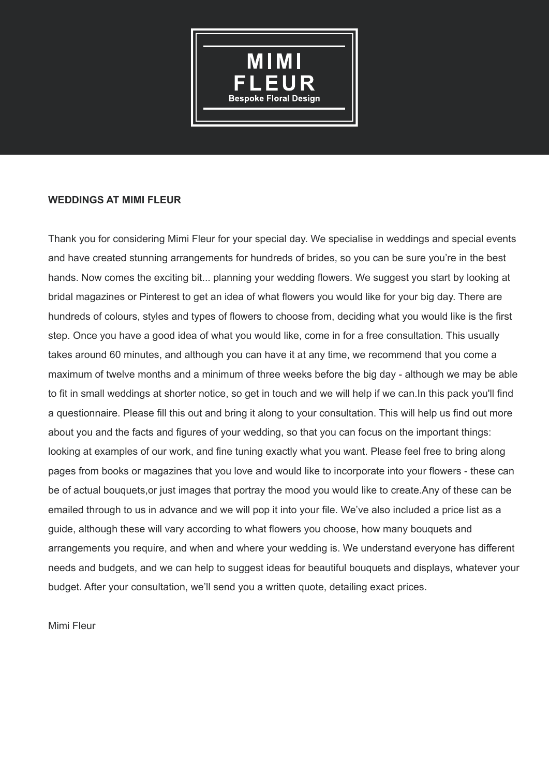

## **WEDDINGS AT MIMI FLEUR**

Thank you for considering Mimi Fleur for your special day. We specialise in weddings and special events and have created stunning arrangements for hundreds of brides, so you can be sure you're in the best hands. Now comes the exciting bit... planning your wedding flowers. We suggest you start by looking at bridal magazines or Pinterest to get an idea of what flowers you would like for your big day. There are hundreds of colours, styles and types of flowers to choose from, deciding what you would like is the first step. Once you have a good idea of what you would like, come in for a free consultation. This usually takes around 60 minutes, and although you can have it at any time, we recommend that you come a maximum of twelve months and a minimum of three weeks before the big day - although we may be able to fit in small weddings at shorter notice, so get in touch and we will help if we can.In this pack you'll find a questionnaire. Please fill this out and bring it along to your consultation. This will help us find out more about you and the facts and figures of your wedding, so that you can focus on the important things: looking at examples of our work, and fine tuning exactly what you want. Please feel free to bring along pages from books or magazines that you love and would like to incorporate into your flowers - these can be of actual bouquets,or just images that portray the mood you would like to create.Any of these can be emailed through to us in advance and we will pop it into your file. We've also included a price list as a guide, although these will vary according to what flowers you choose, how many bouquets and arrangements you require, and when and where your wedding is. We understand everyone has different needs and budgets, and we can help to suggest ideas for beautiful bouquets and displays, whatever your budget. After your consultation, we'll send you a written quote, detailing exact prices.

Mimi Fleur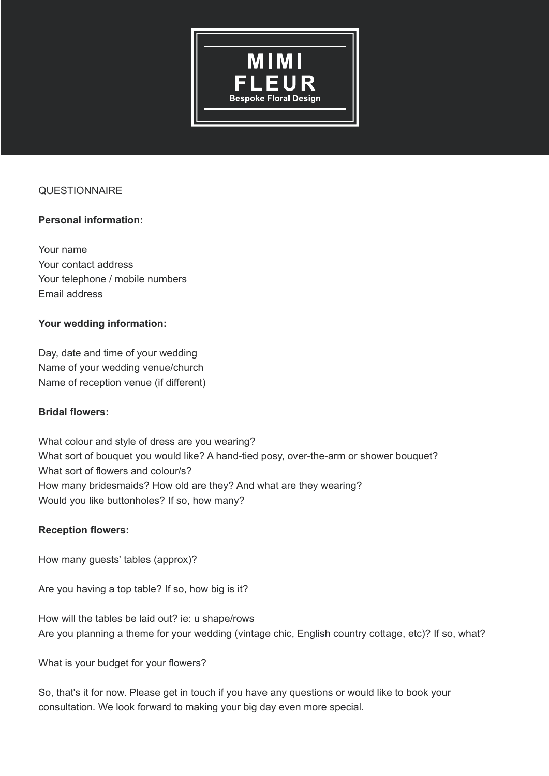

# **QUESTIONNAIRE**

# **Personal information:**

Your name Your contact address Your telephone / mobile numbers Email address

## **Your wedding information:**

Day, date and time of your wedding Name of your wedding venue/church Name of reception venue (if different)

#### **Bridal flowers:**

What colour and style of dress are you wearing? What sort of bouquet you would like? A hand-tied posy, over-the-arm or shower bouquet? What sort of flowers and colour/s? How many bridesmaids? How old are they? And what are they wearing? Would you like buttonholes? If so, how many?

#### **Reception flowers:**

How many guests' tables (approx)?

Are you having a top table? If so, how big is it?

How will the tables be laid out? ie: u shape/rows Are you planning a theme for your wedding (vintage chic, English country cottage, etc)? If so, what?

What is your budget for your flowers?

So, that's it for now. Please get in touch if you have any questions or would like to book your consultation. We look forward to making your big day even more special.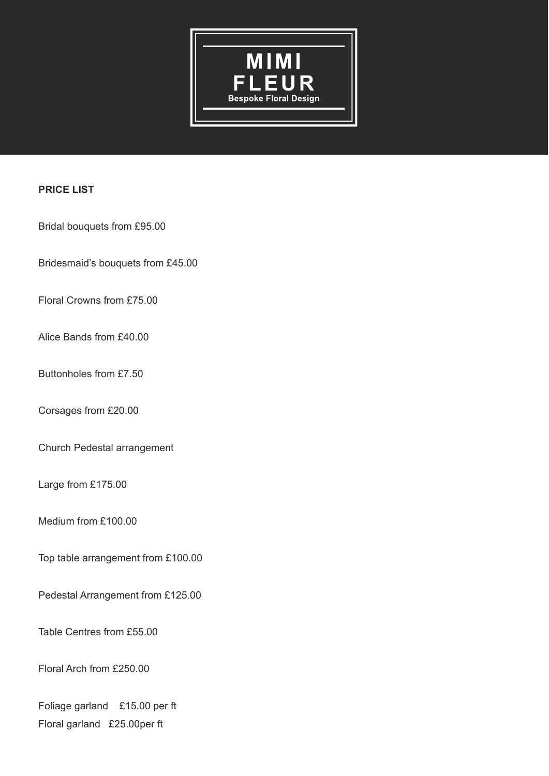

# **PRICE LIST**

Bridal bouquets from £95.00

Bridesmaid's bouquets from £45.00

Floral Crowns from £75.00

Alice Bands from £40.00

Buttonholes from £7.50

Corsages from £20.00

Church Pedestal arrangement

Large from £175.00

Medium from £100.00

Top table arrangement from £100.00

Pedestal Arrangement from £125.00

Table Centres from £55.00

Floral Arch from £250.00

Foliage garland £15.00 per ft Floral garland £25.00per ft